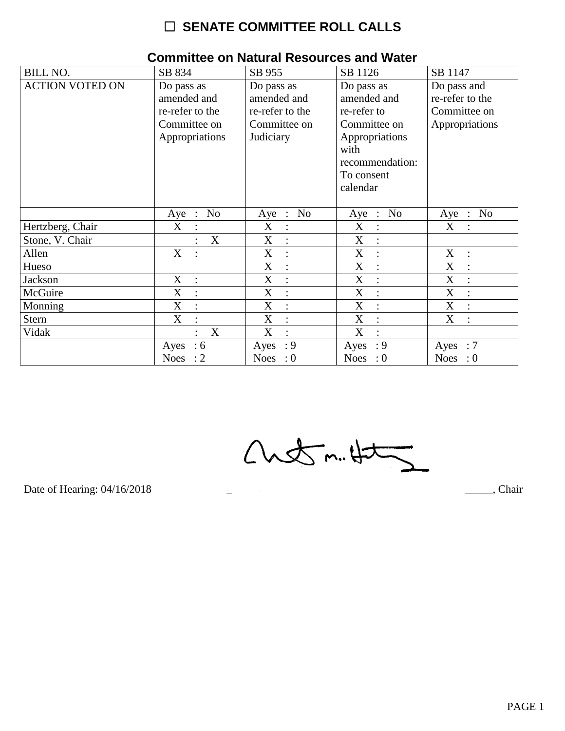## $\Box$  SENATE COMMITTEE ROLL CALLS

| <b>BILL NO.</b>        | SB 834                                                                         | SB 955                                                                    | SB 1126                                                                                                                         | SB 1147                                                          |
|------------------------|--------------------------------------------------------------------------------|---------------------------------------------------------------------------|---------------------------------------------------------------------------------------------------------------------------------|------------------------------------------------------------------|
| <b>ACTION VOTED ON</b> | Do pass as<br>amended and<br>re-refer to the<br>Committee on<br>Appropriations | Do pass as<br>amended and<br>re-refer to the<br>Committee on<br>Judiciary | Do pass as<br>amended and<br>re-refer to<br>Committee on<br>Appropriations<br>with<br>recommendation:<br>To consent<br>calendar | Do pass and<br>re-refer to the<br>Committee on<br>Appropriations |
|                        | No<br>Aye :                                                                    | Aye : No                                                                  | Aye : No                                                                                                                        | No<br>Aye :                                                      |
| Hertzberg, Chair       | X<br>$\ddot{\cdot}$                                                            | X<br>$\vdots$                                                             | X<br>$\ddot{\cdot}$                                                                                                             | X<br>$\bullet$                                                   |
| Stone, V. Chair        | X                                                                              | X<br>$\ddot{\cdot}$                                                       | X                                                                                                                               |                                                                  |
| Allen                  | X                                                                              | X<br>$\ddot{\cdot}$                                                       | X<br>$\ddot{\phantom{a}}$                                                                                                       | X<br>$\ddot{\cdot}$                                              |
| Hueso                  |                                                                                | X<br>$\ddot{\cdot}$                                                       | X<br>$\overline{\cdot}$                                                                                                         | X<br>$\bullet$                                                   |
| Jackson                | X<br>$\ddot{\cdot}$                                                            | X<br>$\ddot{\cdot}$                                                       | X<br>$\ddot{\cdot}$                                                                                                             | X                                                                |
| McGuire                | X<br>$\ddot{\cdot}$                                                            | X                                                                         | X                                                                                                                               | X                                                                |
| Monning                | X<br>$\cdot$ :                                                                 | X<br>$\ddot{\cdot}$                                                       | X<br>$\ddot{\phantom{a}}$                                                                                                       | X<br>$\ddot{\cdot}$                                              |
| <b>Stern</b>           | X<br>$\ddot{\cdot}$                                                            | X<br>$\ddot{\cdot}$                                                       | X<br>$\ddot{\cdot}$                                                                                                             | X                                                                |
| Vidak                  | X                                                                              | X<br>$\ddot{\cdot}$                                                       | X<br>$\ddot{\cdot}$                                                                                                             |                                                                  |
|                        | $\therefore$ 6<br>Ayes                                                         | : 9<br>Ayes                                                               | $\cdot$ 9<br>Ayes                                                                                                               | Ayes : $7$                                                       |
|                        | Noes : $2$                                                                     | Noes : $0$                                                                | Noes : $0$                                                                                                                      | Noes : $0$                                                       |

 $\overline{\phantom{0}}$ 

#### **Committee on Natural Resources and Water**

 $Custm.4\pm1$ 

Date of Hearing: 04/16/2018

Chair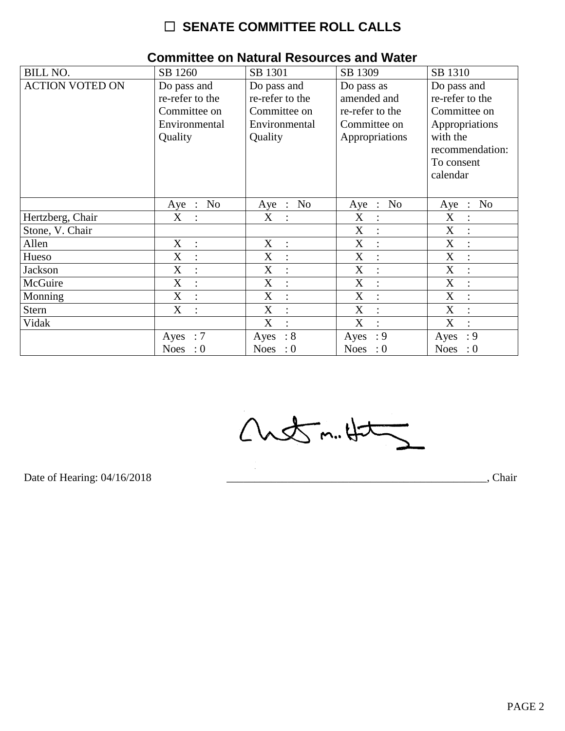# $\Box$  SENATE COMMITTEE ROLL CALLS

| <b>BILL NO.</b>        | SB 1260                   | SB 1301             | SB 1309                   | SB 1310                               |
|------------------------|---------------------------|---------------------|---------------------------|---------------------------------------|
| <b>ACTION VOTED ON</b> | Do pass and               | Do pass and         | Do pass as                | Do pass and                           |
|                        | re-refer to the           | re-refer to the     | amended and               | re-refer to the                       |
|                        | Committee on              | Committee on        | re-refer to the           | Committee on                          |
|                        | Environmental             | Environmental       | Committee on              | Appropriations                        |
|                        | Quality                   | Quality             | Appropriations            | with the                              |
|                        |                           |                     |                           | recommendation:                       |
|                        |                           |                     |                           | To consent                            |
|                        |                           |                     |                           | calendar                              |
|                        |                           |                     |                           |                                       |
|                        | N <sub>o</sub><br>$Aye$ : | No<br>Aye :         | N <sub>o</sub><br>$Aye$ : | N <sub>o</sub><br>Aye<br>$\therefore$ |
| Hertzberg, Chair       | X                         | X<br>$\ddot{\cdot}$ | X                         | X                                     |
| Stone, V. Chair        |                           |                     | X<br>÷                    | X                                     |
| Allen                  | X<br>$\ddot{\cdot}$       | X<br>$\ddot{\cdot}$ | X<br>$\bullet$            | $\boldsymbol{X}$                      |
| Hueso                  | X<br>$\ddot{\cdot}$       | X<br>$\ddot{\cdot}$ | X<br>$\ddot{\cdot}$       | X                                     |
| Jackson                | X                         | X<br>$\ddot{\cdot}$ | X                         | X                                     |
| McGuire                | X<br>$\ddot{\cdot}$       | X<br>$\ddot{\cdot}$ | X<br>$\ddot{\cdot}$       | X                                     |
| Monning                | X                         | X<br>$\ddot{\cdot}$ | X                         | X                                     |
| <b>Stern</b>           | X                         | X<br>$\ddot{\cdot}$ | X<br>$\ddot{\phantom{a}}$ | X                                     |
| Vidak                  |                           | X<br>$\bullet$      | X                         | X                                     |
|                        | Ayes : $7$                | : 8<br>Ayes         | : 9<br>Ayes               | : 9<br>Ayes                           |
|                        | Noes : $0$                | Noes : $0$          | Noes : $0$                | Noes : $0$                            |

#### **Committee on Natural Resources and Water**

Chetm.Ht

Date of Hearing: 04/16/2018

Chair<sub>,</sub> Chair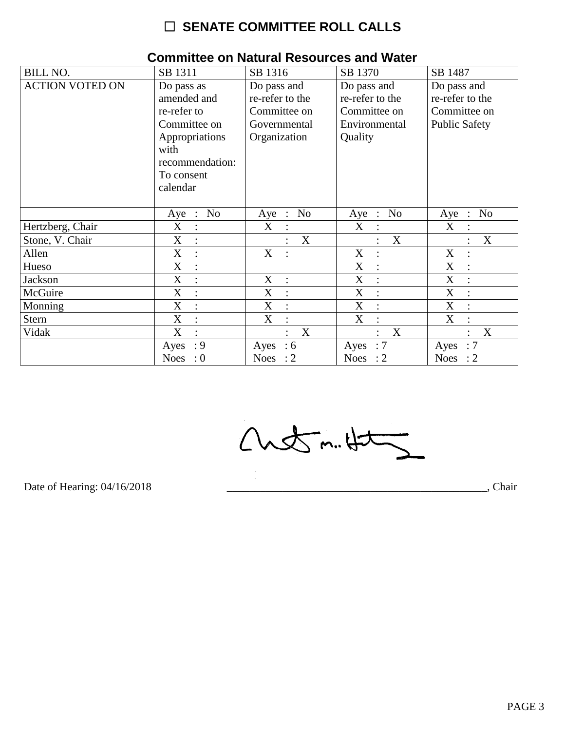# $\Box$  SENATE COMMITTEE ROLL CALLS

| <b>BILL NO.</b>        | SB 1311                                                                                                                         | SB 1316                                                                        | SB 1370                                                                    | SB 1487                                                                |
|------------------------|---------------------------------------------------------------------------------------------------------------------------------|--------------------------------------------------------------------------------|----------------------------------------------------------------------------|------------------------------------------------------------------------|
| <b>ACTION VOTED ON</b> | Do pass as<br>amended and<br>re-refer to<br>Committee on<br>Appropriations<br>with<br>recommendation:<br>To consent<br>calendar | Do pass and<br>re-refer to the<br>Committee on<br>Governmental<br>Organization | Do pass and<br>re-refer to the<br>Committee on<br>Environmental<br>Quality | Do pass and<br>re-refer to the<br>Committee on<br><b>Public Safety</b> |
|                        | No<br>Aye<br>$\ddot{\phantom{1}}$ :                                                                                             | No<br>$Aye$ :                                                                  | N <sub>0</sub><br>$Aye$ :                                                  | N <sub>o</sub><br>Aye<br>$\ddot{\cdot}$                                |
| Hertzberg, Chair       | X<br>$\ddot{\cdot}$                                                                                                             | X                                                                              | X                                                                          | X                                                                      |
| Stone, V. Chair        | X<br>$\ddot{\cdot}$                                                                                                             | X                                                                              | X                                                                          | X                                                                      |
| Allen                  | X<br>$\ddot{\cdot}$                                                                                                             | X                                                                              | X                                                                          | $\mathbf X$                                                            |
| Hueso                  | X<br>$\ddot{\cdot}$                                                                                                             |                                                                                | X<br>$\ddot{\cdot}$                                                        | X                                                                      |
| <b>Jackson</b>         | X                                                                                                                               | X<br>$\ddot{\phantom{a}}$                                                      | X                                                                          | X                                                                      |
| McGuire                | $\boldsymbol{\mathrm{X}}$<br>$\ddot{\cdot}$                                                                                     | X<br>$\ddot{\cdot}$                                                            | X<br>$\ddot{\cdot}$                                                        | $\boldsymbol{\mathrm{X}}$                                              |
| Monning                | X<br>$\ddot{\cdot}$                                                                                                             | X<br>$\ddot{\cdot}$                                                            | X<br>$\ddot{\cdot}$                                                        | X                                                                      |
| <b>Stern</b>           | X<br>$\ddot{\cdot}$                                                                                                             | X<br>$\ddot{\cdot}$                                                            | X<br>$\ddot{\cdot}$                                                        | X                                                                      |
| Vidak                  | X                                                                                                                               | X                                                                              | X                                                                          | X                                                                      |
|                        | : 9<br>Ayes                                                                                                                     | Ayes : $6$                                                                     | :7<br>Ayes                                                                 | : 7<br>Ayes                                                            |
|                        | Noes : $0$                                                                                                                      | Noes : $2$                                                                     | Noes : $2$                                                                 | Noes : $2$                                                             |

#### **Committee on Natural Resources and Water**

 $Custm.4t$ 

Date of Hearing: 04/16/2018

Chair